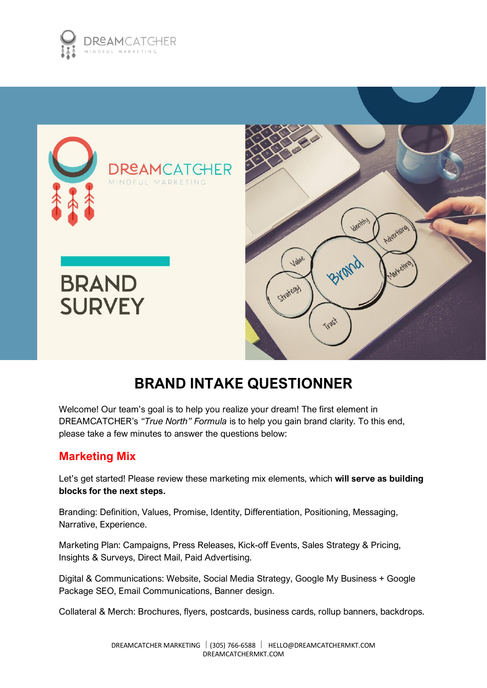



# **BRAND INTAKE QUESTIONNER**

Welcome! Our team's goal is to help you realize your dream! The first element in DREAMCATCHER's *"True North" Formula* is to help you gain brand clarity. To this end, please take a few minutes to answer the questions below:

### **Marketing Mix**

Let's get started! Please review these marketing mix elements, which **will serve as building blocks for the next steps.**

Branding: Definition, Values, Promise, Identity, Differentiation, Positioning, Messaging, Narrative, Experience.

Marketing Plan: Campaigns, Press Releases, Kick-off Events, Sales Strategy & Pricing, Insights & Surveys, Direct Mail, Paid Advertising.

Digital & Communications: Website, Social Media Strategy, Google My Business + Google Package SEO, Email Communications, Banner design.

Collateral & Merch: Brochures, flyers, postcards, business cards, rollup banners, backdrops.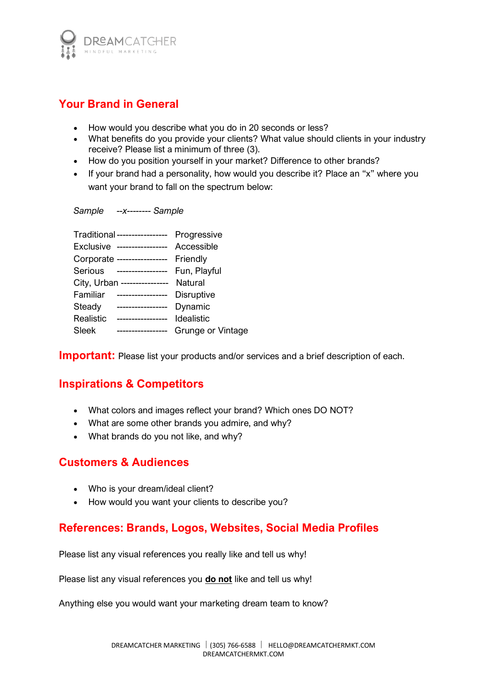

## **Your Brand in General**

- How would you describe what you do in 20 seconds or less?
- What benefits do you provide your clients? What value should clients in your industry receive? Please list a minimum of three (3).
- How do you position yourself in your market? Difference to other brands?
- If your brand had a personality, how would you describe it? Place an "x" where you want your brand to fall on the spectrum below:

*Sample --x-------- Sample*

|                  | Traditional ----------------- | Progressive       |
|------------------|-------------------------------|-------------------|
| <b>Exclusive</b> | -----------------             | Accessible        |
|                  | Corporate -----------------   | Friendly          |
| Serious          | -----------------             | Fun, Playful      |
|                  | City, Urban ----------------  | Natural           |
| Familiar         | -----------------             | <b>Disruptive</b> |
| Steady           | -----------------             | Dynamic           |
| Realistic        | -----------------             | Idealistic        |
| Sleek            | -----------------             | Grunge or Vintage |
|                  |                               |                   |

**Important:** Please list your products and/or services and a brief description of each.

### **Inspirations & Competitors**

- What colors and images reflect your brand? Which ones DO NOT?
- What are some other brands you admire, and why?
- What brands do you not like, and why?

#### **Customers & Audiences**

- Who is your dream/ideal client?
- How would you want your clients to describe you?

### **References: Brands, Logos, Websites, Social Media Profiles**

Please list any visual references you really like and tell us why!

Please list any visual references you **do not** like and tell us why!

Anything else you would want your marketing dream team to know?